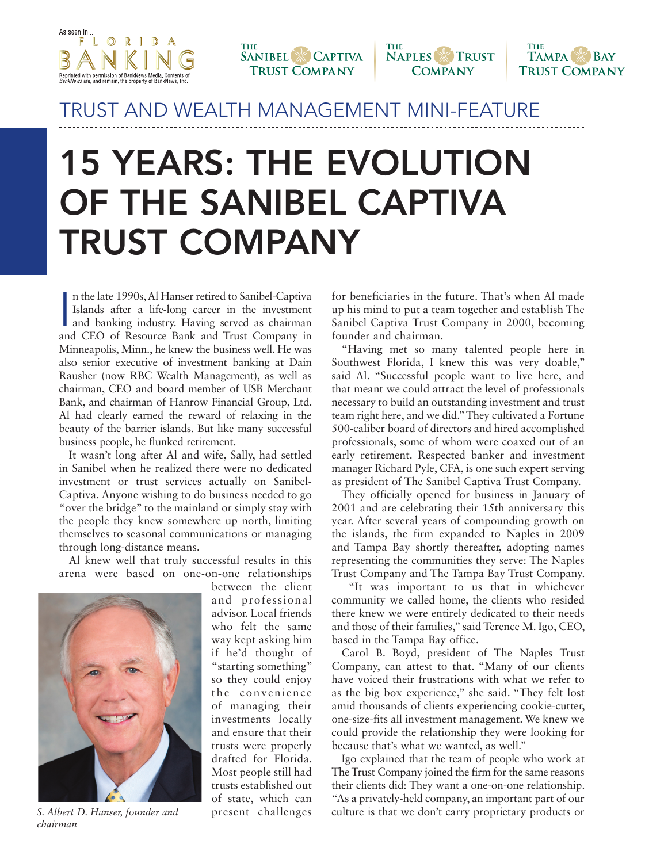







## TRUST AND WEALTH MANAGEMENT MINI-FEATURE

## **15 YEARS: THE EVOLUTION OF THE SANIBEL CAPTIVA TRUST COMPANY**

In the late 1990s, Al Hanser retired to Sanibel-Captiva<br>Islands after a life-long career in the investment<br>and banking industry. Having served as chairman<br>and CEO of Resource Bank and Trust Company in n the late 1990s, Al Hanser retired to Sanibel-Captiva Islands after a life-long career in the investment and banking industry. Having served as chairman Minneapolis, Minn., he knew the business well. He was also senior executive of investment banking at Dain Rausher (now RBC Wealth Management), as well as chairman, CEO and board member of USB Merchant Bank, and chairman of Hanrow Financial Group, Ltd. Al had clearly earned the reward of relaxing in the beauty of the barrier islands. But like many successful business people, he flunked retirement.

It wasn't long after Al and wife, Sally, had settled in Sanibel when he realized there were no dedicated investment or trust services actually on Sanibel-Captiva. Anyone wishing to do business needed to go "over the bridge" to the mainland or simply stay with the people they knew somewhere up north, limiting themselves to seasonal communications or managing through long-distance means.

Al knew well that truly successful results in this arena were based on one-on-one relationships



*chairman*

between the client and professional advisor. Local friends who felt the same way kept asking him if he'd thought of "starting something" so they could enjoy the convenience of managing their investments locally and ensure that their trusts were properly drafted for Florida. Most people still had trusts established out of state, which can present challenges

for beneficiaries in the future. That's when Al made up his mind to put a team together and establish The Sanibel Captiva Trust Company in 2000, becoming founder and chairman.

"Having met so many talented people here in Southwest Florida, I knew this was very doable," said Al. "Successful people want to live here, and that meant we could attract the level of professionals necessary to build an outstanding investment and trust team right here, and we did." They cultivated a Fortune 500-caliber board of directors and hired accomplished professionals, some of whom were coaxed out of an early retirement. Respected banker and investment manager Richard Pyle, CFA, is one such expert serving as president of The Sanibel Captiva Trust Company.

They officially opened for business in January of 2001 and are celebrating their 15th anniversary this year. After several years of compounding growth on the islands, the firm expanded to Naples in 2009 and Tampa Bay shortly thereafter, adopting names representing the communities they serve: The Naples Trust Company and The Tampa Bay Trust Company.

 "It was important to us that in whichever community we called home, the clients who resided there knew we were entirely dedicated to their needs and those of their families," said Terence M. Igo, CEO, based in the Tampa Bay office.

Carol B. Boyd, president of The Naples Trust Company, can attest to that. "Many of our clients have voiced their frustrations with what we refer to as the big box experience," she said. "They felt lost amid thousands of clients experiencing cookie-cutter, one-size-fits all investment management. We knew we could provide the relationship they were looking for because that's what we wanted, as well."

Igo explained that the team of people who work at The Trust Company joined the firm for the same reasons their clients did: They want a one-on-one relationship. "As a privately-held company, an important part of our *S. Albert D. Hanser, founder and* present challenges culture is that we don't carry proprietary products or